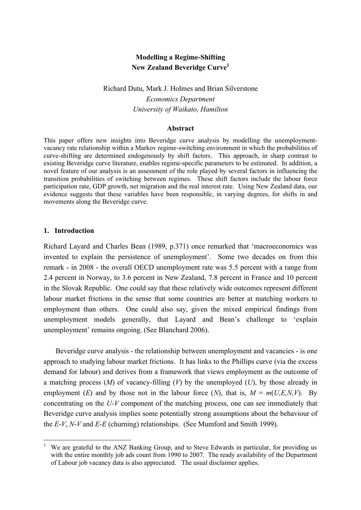## **Modelling a Regime-Shifting New Zealand Beveridge Curve<sup>1</sup>**

# Richard Dutu, Mark J. Holmes and Brian Silverstone *Economics Department University of Waikato, Hamilton*

## **Abstract**

This paper offers new insights into Beveridge curve analysis by modelling the unemploymentvacancy rate relationship within a Markov regime-switching environment in which the probabilities of curve-shifting are determined endogenously by shift factors. This approach, in sharp contrast to existing Beveridge curve literature, enables regime-specific parameters to be estimated. In addition, a novel feature of our analysis is an assessment of the role played by several factors in influencing the transition probabilities of switching between regimes. These shift factors include the labour force participation rate, GDP growth, net migration and the real interest rate. Using New Zealand data, our evidence suggests that these variables have been responsible, in varying degrees, for shifts in and movements along the Beveridge curve.

### **1. Introduction**

 $\overline{a}$ 

Richard Layard and Charles Bean (1989, p.371) once remarked that 'macroeconomics was invented to explain the persistence of unemployment'. Some two decades on from this remark - in 2008 - the overall OECD unemployment rate was 5.5 percent with a range from 2.4 percent in Norway, to 3.6 percent in New Zealand, 7.8 percent in France and 10 percent in the Slovak Republic. One could say that these relatively wide outcomes represent different labour market frictions in the sense that some countries are better at matching workers to employment than others. One could also say, given the mixed empirical findings from unemployment models generally, that Layard and Bean's challenge to 'explain unemployment' remains ongoing. (See Blanchard 2006).

Beveridge curve analysis - the relationship between unemployment and vacancies - is one approach to studying labour market frictions. It has links to the Phillips curve (via the excess demand for labour) and derives from a framework that views employment as the outcome of a matching process (*M*) of vacancy-filling (*V*) by the unemployed (*U*), by those already in employment (*E*) and by those not in the labour force (*N*), that is,  $M = m(U,E,N,V)$ . By concentrating on the *U-V* component of the matching process, one can see immediately that Beveridge curve analysis implies some potentially strong assumptions about the behaviour of the *E*-*V*, *N*-*V* and *E*-*E* (churning) relationships. (See Mumford and Smith 1999).

<sup>1</sup> We are grateful to the ANZ Banking Group, and to Steve Edwards in particular, for providing us with the entire monthly job ads count from 1990 to 2007. The ready availability of the Department of Labour job vacancy data is also appreciated. The usual disclaimer applies.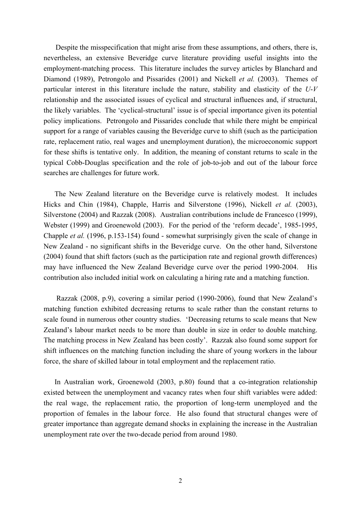Despite the misspecification that might arise from these assumptions, and others, there is, nevertheless, an extensive Beveridge curve literature providing useful insights into the employment-matching process. This literature includes the survey articles by Blanchard and Diamond (1989), Petrongolo and Pissarides (2001) and Nickell *et al.* (2003). Themes of particular interest in this literature include the nature, stability and elasticity of the *U*-*V* relationship and the associated issues of cyclical and structural influences and, if structural, the likely variables. The 'cyclical-structural' issue is of special importance given its potential policy implications. Petrongolo and Pissarides conclude that while there might be empirical support for a range of variables causing the Beveridge curve to shift (such as the participation rate, replacement ratio, real wages and unemployment duration), the microeconomic support for these shifts is tentative only. In addition, the meaning of constant returns to scale in the typical Cobb-Douglas specification and the role of job-to-job and out of the labour force searches are challenges for future work.

The New Zealand literature on the Beveridge curve is relatively modest. It includes Hicks and Chin (1984), Chapple, Harris and Silverstone (1996), Nickell *et al.* (2003), Silverstone (2004) and Razzak (2008). Australian contributions include de Francesco (1999), Webster (1999) and Groenewold (2003). For the period of the 'reform decade', 1985-1995, Chapple *et al.* (1996, p.153-154) found - somewhat surprisingly given the scale of change in New Zealand - no significant shifts in the Beveridge curve. On the other hand, Silverstone (2004) found that shift factors (such as the participation rate and regional growth differences) may have influenced the New Zealand Beveridge curve over the period 1990-2004. His contribution also included initial work on calculating a hiring rate and a matching function.

Razzak (2008, p.9), covering a similar period (1990-2006), found that New Zealand's matching function exhibited decreasing returns to scale rather than the constant returns to scale found in numerous other country studies. 'Decreasing returns to scale means that New Zealand's labour market needs to be more than double in size in order to double matching. The matching process in New Zealand has been costly'. Razzak also found some support for shift influences on the matching function including the share of young workers in the labour force, the share of skilled labour in total employment and the replacement ratio.

In Australian work, Groenewold (2003, p.80) found that a co-integration relationship existed between the unemployment and vacancy rates when four shift variables were added: the real wage, the replacement ratio, the proportion of long-term unemployed and the proportion of females in the labour force. He also found that structural changes were of greater importance than aggregate demand shocks in explaining the increase in the Australian unemployment rate over the two-decade period from around 1980.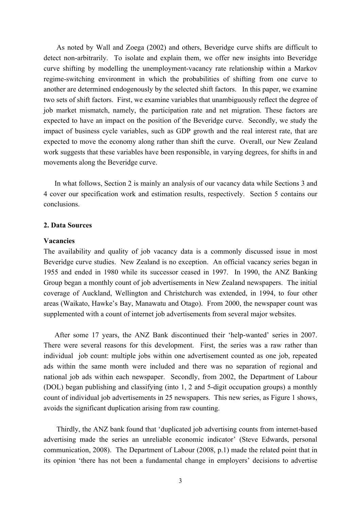As noted by Wall and Zoega (2002) and others, Beveridge curve shifts are difficult to detect non-arbitrarily. To isolate and explain them, we offer new insights into Beveridge curve shifting by modelling the unemployment-vacancy rate relationship within a Markov regime-switching environment in which the probabilities of shifting from one curve to another are determined endogenously by the selected shift factors. In this paper, we examine two sets of shift factors. First, we examine variables that unambiguously reflect the degree of job market mismatch, namely, the participation rate and net migration. These factors are expected to have an impact on the position of the Beveridge curve. Secondly, we study the impact of business cycle variables, such as GDP growth and the real interest rate, that are expected to move the economy along rather than shift the curve. Overall, our New Zealand work suggests that these variables have been responsible, in varying degrees, for shifts in and movements along the Beveridge curve.

In what follows, Section 2 is mainly an analysis of our vacancy data while Sections 3 and 4 cover our specification work and estimation results, respectively. Section 5 contains our conclusions.

## **2. Data Sources**

### **Vacancies**

The availability and quality of job vacancy data is a commonly discussed issue in most Beveridge curve studies. New Zealand is no exception. An official vacancy series began in 1955 and ended in 1980 while its successor ceased in 1997. In 1990, the ANZ Banking Group began a monthly count of job advertisements in New Zealand newspapers. The initial coverage of Auckland, Wellington and Christchurch was extended, in 1994, to four other areas (Waikato, Hawke's Bay, Manawatu and Otago). From 2000, the newspaper count was supplemented with a count of internet job advertisements from several major websites.

After some 17 years, the ANZ Bank discontinued their 'help-wanted' series in 2007. There were several reasons for this development. First, the series was a raw rather than individual job count: multiple jobs within one advertisement counted as one job, repeated ads within the same month were included and there was no separation of regional and national job ads within each newspaper. Secondly, from 2002, the Department of Labour (DOL) began publishing and classifying (into 1, 2 and 5-digit occupation groups) a monthly count of individual job advertisements in 25 newspapers. This new series, as Figure 1 shows, avoids the significant duplication arising from raw counting.

Thirdly, the ANZ bank found that 'duplicated job advertising counts from internet-based advertising made the series an unreliable economic indicator' (Steve Edwards, personal communication, 2008). The Department of Labour (2008, p.1) made the related point that in its opinion 'there has not been a fundamental change in employers' decisions to advertise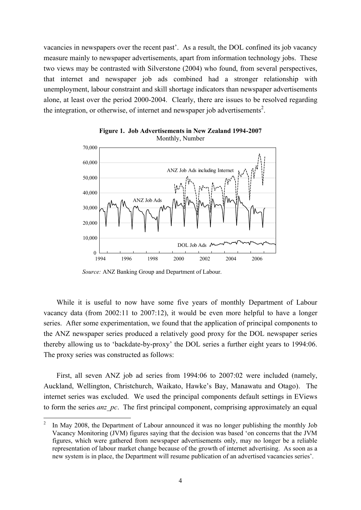vacancies in newspapers over the recent past'. As a result, the DOL confined its job vacancy measure mainly to newspaper advertisements, apart from information technology jobs. These two views may be contrasted with Silverstone (2004) who found, from several perspectives, that internet and newspaper job ads combined had a stronger relationship with unemployment, labour constraint and skill shortage indicators than newspaper advertisements alone, at least over the period 2000-2004. Clearly, there are issues to be resolved regarding the integration, or otherwise, of internet and newspaper job advertisements<sup>2</sup>.



**Figure 1. Job Advertisements in New Zealand 1994-2007** Monthly, Number

*Source:* ANZ Banking Group and Department of Labour.

While it is useful to now have some five years of monthly Department of Labour vacancy data (from 2002:11 to 2007:12), it would be even more helpful to have a longer series. After some experimentation, we found that the application of principal components to the ANZ newspaper series produced a relatively good proxy for the DOL newspaper series thereby allowing us to 'backdate-by-proxy' the DOL series a further eight years to 1994:06. The proxy series was constructed as follows:

First, all seven ANZ job ad series from 1994:06 to 2007:02 were included (namely, Auckland, Wellington, Christchurch, Waikato, Hawke's Bay, Manawatu and Otago). The internet series was excluded. We used the principal components default settings in EViews to form the series *anz* pc. The first principal component, comprising approximately an equal

 $\frac{1}{2}$ In May 2008, the Department of Labour announced it was no longer publishing the monthly Job Vacancy Monitoring (JVM) figures saying that the decision was based 'on concerns that the JVM figures, which were gathered from newspaper advertisements only, may no longer be a reliable representation of labour market change because of the growth of internet advertising. As soon as a new system is in place, the Department will resume publication of an advertised vacancies series'.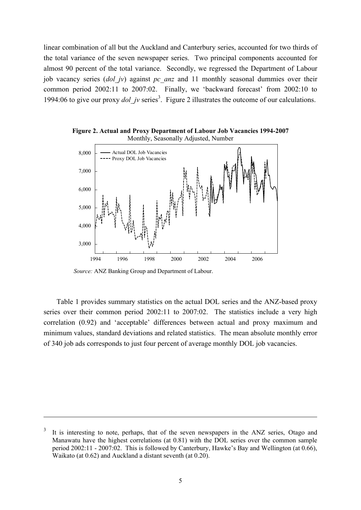linear combination of all but the Auckland and Canterbury series, accounted for two thirds of the total variance of the seven newspaper series. Two principal components accounted for almost 90 percent of the total variance. Secondly, we regressed the Department of Labour job vacancy series (*dol\_jv*) against *pc\_anz* and 11 monthly seasonal dummies over their common period 2002:11 to 2007:02. Finally, we 'backward forecast' from 2002:10 to 1994:06 to give our proxy *dol\_jv* series<sup>3</sup>. Figure 2 illustrates the outcome of our calculations.



**Figure 2. Actual and Proxy Department of Labour Job Vacancies 1994-2007** Monthly, Seasonally Adjusted, Number

*Source:* ANZ Banking Group and Department of Labour.

 $\overline{a}$ 

Table 1 provides summary statistics on the actual DOL series and the ANZ-based proxy series over their common period 2002:11 to 2007:02. The statistics include a very high correlation (0.92) and 'acceptable' differences between actual and proxy maximum and minimum values, standard deviations and related statistics. The mean absolute monthly error of 340 job ads corresponds to just four percent of average monthly DOL job vacancies.

<sup>3</sup> It is interesting to note, perhaps, that of the seven newspapers in the ANZ series, Otago and Manawatu have the highest correlations (at 0.81) with the DOL series over the common sample period 2002:11 - 2007:02. This is followed by Canterbury, Hawke's Bay and Wellington (at 0.66), Waikato (at 0.62) and Auckland a distant seventh (at 0.20).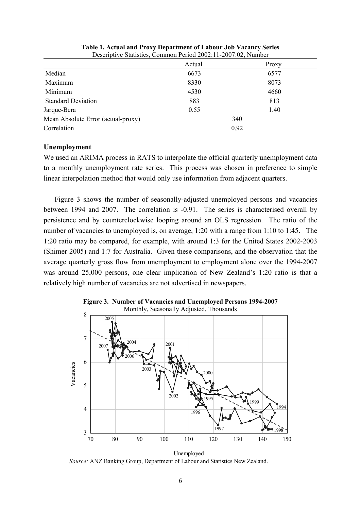|                                    | Actual | Proxy |
|------------------------------------|--------|-------|
| Median                             | 6673   | 6577  |
| Maximum                            | 8330   | 8073  |
| Minimum                            | 4530   | 4660  |
| <b>Standard Deviation</b>          | 883    | 813   |
| Jarque-Bera                        | 0.55   | 1.40  |
| Mean Absolute Error (actual-proxy) |        | 340   |
| Correlation                        |        | 0.92  |

**Table 1. Actual and Proxy Department of Labour Job Vacancy Series** Descriptive Statistics, Common Period 2002:11-2007:02, Number

## **Unemployment**

We used an ARIMA process in RATS to interpolate the official quarterly unemployment data to a monthly unemployment rate series. This process was chosen in preference to simple linear interpolation method that would only use information from adjacent quarters.

Figure 3 shows the number of seasonally-adjusted unemployed persons and vacancies between 1994 and 2007. The correlation is -0.91. The series is characterised overall by persistence and by counterclockwise looping around an OLS regression. The ratio of the number of vacancies to unemployed is, on average, 1:20 with a range from 1:10 to 1:45. The 1:20 ratio may be compared, for example, with around 1:3 for the United States 2002-2003 (Shimer 2005) and 1:7 for Australia. Given these comparisons, and the observation that the average quarterly gross flow from unemployment to employment alone over the 1994-2007 was around 25,000 persons, one clear implication of New Zealand's 1:20 ratio is that a relatively high number of vacancies are not advertised in newspapers.



**Figure 3. Number of Vacancies and Unemployed Persons 1994-2007**

Unemployed *Source:* ANZ Banking Group, Department of Labour and Statistics New Zealand.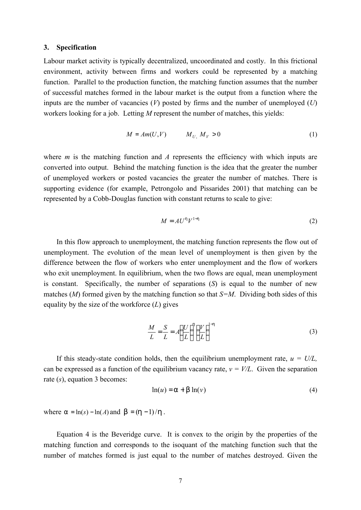### **3. Specification**

Labour market activity is typically decentralized, uncoordinated and costly. In this frictional environment, activity between firms and workers could be represented by a matching function. Parallel to the production function, the matching function assumes that the number of successful matches formed in the labour market is the output from a function where the inputs are the number of vacancies (*V*) posted by firms and the number of unemployed (*U*) workers looking for a job. Letting *M* represent the number of matches, this yields:

$$
M = Am(U, V) \qquad M_U, M_V > 0 \tag{1}
$$

where *m* is the matching function and *A* represents the efficiency with which inputs are converted into output. Behind the matching function is the idea that the greater the number of unemployed workers or posted vacancies the greater the number of matches. There is supporting evidence (for example, Petrongolo and Pissarides 2001) that matching can be represented by a Cobb-Douglas function with constant returns to scale to give:

$$
M = A U^{\dagger} V^{1-\dagger} \tag{2}
$$

In this flow approach to unemployment, the matching function represents the flow out of unemployment. The evolution of the mean level of unemployment is then given by the difference between the flow of workers who enter unemployment and the flow of workers who exit unemployment. In equilibrium, when the two flows are equal, mean unemployment is constant. Specifically, the number of separations (*S*) is equal to the number of new matches (*M*) formed given by the matching function so that *S=M*. Dividing both sides of this equality by the size of the workforce (*L*) gives

$$
\frac{M}{L} = \frac{S}{L} = A \left(\frac{U}{L}\right)^n \left(\frac{V}{L}\right)^{1-h}
$$
\n(3)

If this steady-state condition holds, then the equilibrium unemployment rate,  $u = U/L$ , can be expressed as a function of the equilibrium vacancy rate,  $v = V/L$ . Given the separation rate (*s*), equation 3 becomes:

$$
\ln(u) = a + b \ln(v) \tag{4}
$$

where  $a = \ln(s) - \ln(A)$  and  $b = (h-1)/h$ .

Equation 4 is the Beveridge curve. It is convex to the origin by the properties of the matching function and corresponds to the isoquant of the matching function such that the number of matches formed is just equal to the number of matches destroyed. Given the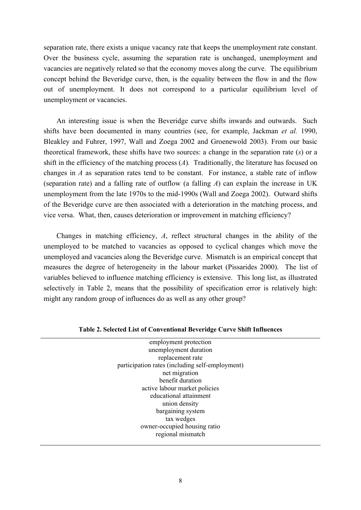separation rate, there exists a unique vacancy rate that keeps the unemployment rate constant. Over the business cycle, assuming the separation rate is unchanged, unemployment and vacancies are negatively related so that the economy moves along the curve. The equilibrium concept behind the Beveridge curve, then, is the equality between the flow in and the flow out of unemployment. It does not correspond to a particular equilibrium level of unemployment or vacancies.

An interesting issue is when the Beveridge curve shifts inwards and outwards. Such shifts have been documented in many countries (see, for example, Jackman *et al.* 1990, Bleakley and Fuhrer, 1997, Wall and Zoega 2002 and Groenewold 2003). From our basic theoretical framework, these shifts have two sources: a change in the separation rate (*s*) or a shift in the efficiency of the matching process (*A*)*.* Traditionally, the literature has focused on changes in *A* as separation rates tend to be constant. For instance, a stable rate of inflow (separation rate) and a falling rate of outflow (a falling *A*) can explain the increase in UK unemployment from the late 1970s to the mid-1990s (Wall and Zoega 2002). Outward shifts of the Beveridge curve are then associated with a deterioration in the matching process, and vice versa. What, then, causes deterioration or improvement in matching efficiency?

Changes in matching efficiency, *A*, reflect structural changes in the ability of the unemployed to be matched to vacancies as opposed to cyclical changes which move the unemployed and vacancies along the Beveridge curve. Mismatch is an empirical concept that measures the degree of heterogeneity in the labour market (Pissarides 2000). The list of variables believed to influence matching efficiency is extensive. This long list, as illustrated selectively in Table 2, means that the possibility of specification error is relatively high: might any random group of influences do as well as any other group?

| employment protection                           |  |
|-------------------------------------------------|--|
| unemployment duration                           |  |
| replacement rate                                |  |
| participation rates (including self-employment) |  |
| net migration                                   |  |
| benefit duration                                |  |
| active labour market policies                   |  |
| educational attainment                          |  |
| union density                                   |  |
| bargaining system                               |  |
| tax wedges                                      |  |
| owner-occupied housing ratio                    |  |
| regional mismatch                               |  |
|                                                 |  |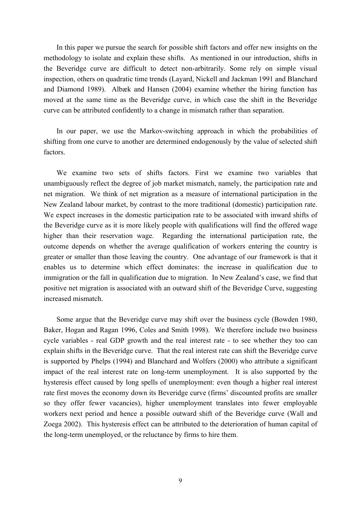In this paper we pursue the search for possible shift factors and offer new insights on the methodology to isolate and explain these shifts. As mentioned in our introduction, shifts in the Beveridge curve are difficult to detect non-arbitrarily. Some rely on simple visual inspection, others on quadratic time trends (Layard, Nickell and Jackman 1991 and Blanchard and Diamond 1989). Albæk and Hansen (2004) examine whether the hiring function has moved at the same time as the Beveridge curve, in which case the shift in the Beveridge curve can be attributed confidently to a change in mismatch rather than separation.

In our paper, we use the Markov-switching approach in which the probabilities of shifting from one curve to another are determined endogenously by the value of selected shift factors.

We examine two sets of shifts factors. First we examine two variables that unambiguously reflect the degree of job market mismatch, namely, the participation rate and net migration. We think of net migration as a measure of international participation in the New Zealand labour market, by contrast to the more traditional (domestic) participation rate. We expect increases in the domestic participation rate to be associated with inward shifts of the Beveridge curve as it is more likely people with qualifications will find the offered wage higher than their reservation wage. Regarding the international participation rate, the outcome depends on whether the average qualification of workers entering the country is greater or smaller than those leaving the country. One advantage of our framework is that it enables us to determine which effect dominates: the increase in qualification due to immigration or the fall in qualification due to migration. In New Zealand's case, we find that positive net migration is associated with an outward shift of the Beveridge Curve, suggesting increased mismatch.

Some argue that the Beveridge curve may shift over the business cycle (Bowden 1980, Baker, Hogan and Ragan 1996, Coles and Smith 1998). We therefore include two business cycle variables - real GDP growth and the real interest rate - to see whether they too can explain shifts in the Beveridge curve. That the real interest rate can shift the Beveridge curve is supported by Phelps (1994) and Blanchard and Wolfers (2000) who attribute a significant impact of the real interest rate on long-term unemployment. It is also supported by the hysteresis effect caused by long spells of unemployment: even though a higher real interest rate first moves the economy down its Beveridge curve (firms' discounted profits are smaller so they offer fewer vacancies), higher unemployment translates into fewer employable workers next period and hence a possible outward shift of the Beveridge curve (Wall and Zoega 2002). This hysteresis effect can be attributed to the deterioration of human capital of the long-term unemployed, or the reluctance by firms to hire them.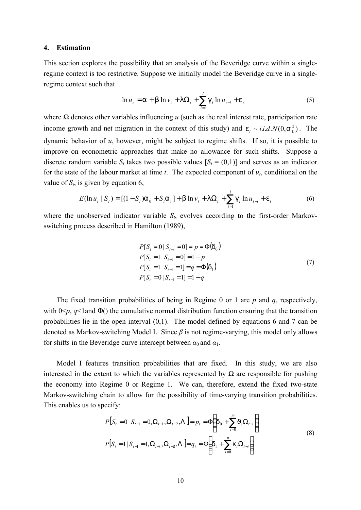## **4. Estimation**

This section explores the possibility that an analysis of the Beveridge curve within a singleregime context is too restrictive. Suppose we initially model the Beveridge curve in a singleregime context such that

$$
\ln u_t = a + b \ln v_t + \ln \Omega_t + \sum_{i=1}^{l} g_i \ln u_{t-i} + e_t
$$
 (5)

where *Ω* denotes other variables influencing *u* (such as the real interest rate, participation rate income growth and net migration in the context of this study) and  $e_t \sim i.i.d.N(0, s_e^2)$ . The dynamic behavior of *u*, however, might be subject to regime shifts. If so, it is possible to improve on econometric approaches that make no allowance for such shifts. Suppose a discrete random variable  $S_t$  takes two possible values  $[S_t = (0,1)]$  and serves as an indicator for the state of the labour market at time *t*. The expected component of *ut*, conditional on the value of  $S_t$ , is given by equation 6,

$$
E(\ln u_t | S_t) = [(1 - S_t)a_0 + S_t a_1] + b \ln v_t + \ln \Omega_t + \sum_{i=1}^{l} g_i \ln u_{t-i} + e_t
$$
 (6)

where the unobserved indicator variable  $S_t$ , evolves according to the first-order Markovswitching process described in Hamilton (1989),

$$
P[S_t = 0 | S_{t-1} = 0] = p = \Phi(\mathbf{d}_0)
$$
  
\n
$$
P[S_t = 1 | S_{t-1} = 0] = 1 - p
$$
  
\n
$$
P[S_t = 1 | S_{t-1} = 1] = q = \Phi(\mathbf{d}_1)
$$
  
\n
$$
P[S_t = 0 | S_{t-1} = 1] = 1 - q
$$
\n(7)

The fixed transition probabilities of being in Regime 0 or 1 are *p* and *q*, respectively, with  $0 \leq p$ ,  $q \leq 1$  and  $\Phi$ () the cumulative normal distribution function ensuring that the transition probabilities lie in the open interval (0,1). The model defined by equations 6 and 7 can be denoted as Markov-switching Model I. Since *β* is not regime-varying, this model only allows for shifts in the Beveridge curve intercept between  $\alpha_0$  and  $\alpha_1$ .

Model I features transition probabilities that are fixed. In this study, we are also interested in the extent to which the variables represented by  $\Omega$  are responsible for pushing the economy into Regime 0 or Regime 1. We can, therefore, extend the fixed two-state Markov-switching chain to allow for the possibility of time-varying transition probabilities. This enables us to specify:

$$
P[S_t = 0 | S_{t-1} = 0, \Omega_{t-1}, \Omega_{t-2}, \Lambda] = p_t = \Phi\left(d_0 + \sum_{i=0}^{m} J_i \Omega_{t-i}\right)
$$
  

$$
P[S_t = 1 | S_{t-1} = 1, \Omega_{t-1}, \Omega_{t-2}, \Lambda] = q_t = \Phi\left(d_1 + \sum_{i=0}^{n} k_i \Omega_{t-i}\right)
$$
 (8)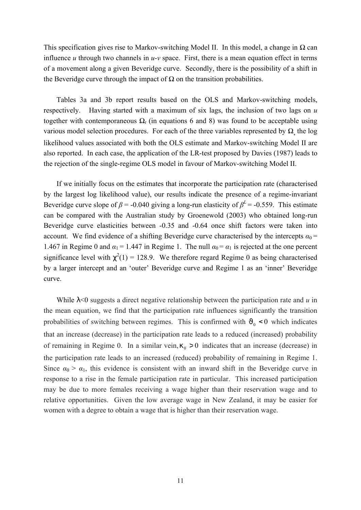This specification gives rise to Markov-switching Model II. In this model, a change in *Ω* can influence  $u$  through two channels in  $u$ - $v$  space. First, there is a mean equation effect in terms of a movement along a given Beveridge curve. Secondly, there is the possibility of a shift in the Beveridge curve through the impact of  $Ω$  on the transition probabilities.

Tables 3a and 3b report results based on the OLS and Markov-switching models, respectively. Having started with a maximum of six lags, the inclusion of two lags on *u* together with contemporaneous  $\Omega_t$  (in equations 6 and 8) was found to be acceptable using various model selection procedures. For each of the three variables represented by *Ω*, the log likelihood values associated with both the OLS estimate and Markov-switching Model II are also reported. In each case, the application of the LR-test proposed by Davies (1987) leads to the rejection of the single-regime OLS model in favour of Markov-switching Model II.

If we initially focus on the estimates that incorporate the participation rate (characterised by the largest log likelihood value), our results indicate the presence of a regime-invariant Beveridge curve slope of  $\beta$  = -0.040 giving a long-run elasticity of  $\beta$ <sup>L</sup> = -0.559. This estimate can be compared with the Australian study by Groenewold (2003) who obtained long-run Beveridge curve elasticities between -0.35 and -0.64 once shift factors were taken into account. We find evidence of a shifting Beveridge curve characterised by the intercepts  $\alpha_0$  = 1.467 in Regime 0 and  $\alpha_1 = 1.447$  in Regime 1. The null  $\alpha_0 = \alpha_1$  is rejected at the one percent significance level with  $c^2(1) = 128.9$ . We therefore regard Regime 0 as being characterised by a larger intercept and an 'outer' Beveridge curve and Regime 1 as an 'inner' Beveridge curve.

While  $\vert$  <0 suggests a direct negative relationship between the participation rate and *u* in the mean equation, we find that the participation rate influences significantly the transition probabilities of switching between regimes. This is confirmed with  $J_0 < 0$  which indicates that an increase (decrease) in the participation rate leads to a reduced (increased) probability of remaining in Regime 0. In a similar vein,  $k_0 > 0$  indicates that an increase (decrease) in the participation rate leads to an increased (reduced) probability of remaining in Regime 1. Since  $\alpha_0 > \alpha_1$ , this evidence is consistent with an inward shift in the Beveridge curve in response to a rise in the female participation rate in particular. This increased participation may be due to more females receiving a wage higher than their reservation wage and to relative opportunities. Given the low average wage in New Zealand, it may be easier for women with a degree to obtain a wage that is higher than their reservation wage.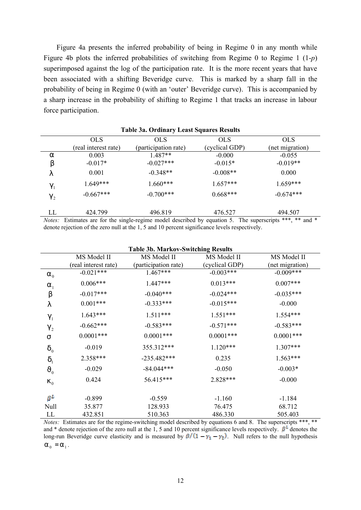Figure 4a presents the inferred probability of being in Regime 0 in any month while Figure 4b plots the inferred probabilities of switching from Regime 0 to Regime 1 (1-*p*) superimposed against the log of the participation rate. It is the more recent years that have been associated with a shifting Beveridge curve. This is marked by a sharp fall in the probability of being in Regime 0 (with an 'outer' Beveridge curve). This is accompanied by a sharp increase in the probability of shifting to Regime 1 that tracks an increase in labour force participation.

| <b>Table 3a. Ordinary Least Squares Results</b> |                      |                                                                                                                |                |                 |  |  |
|-------------------------------------------------|----------------------|----------------------------------------------------------------------------------------------------------------|----------------|-----------------|--|--|
|                                                 | <b>OLS</b>           | OLS.                                                                                                           | <b>OLS</b>     | <b>OLS</b>      |  |  |
|                                                 | (real interest rate) | (participation rate)                                                                                           | (cyclical GDP) | (net migration) |  |  |
| a                                               | 0.003                | $1.487**$                                                                                                      | $-0.000$       | $-0.055$        |  |  |
| b                                               | $-0.017*$            | $-0.027***$                                                                                                    | $-0.015*$      | $-0.019**$      |  |  |
|                                                 | 0.001                | $-0.348**$                                                                                                     | $-0.008**$     | 0.000           |  |  |
| 9 <sub>1</sub>                                  | $1.649***$           | $1.660***$                                                                                                     | $1.657***$     | $1.659***$      |  |  |
| $9_{2}$                                         | $-0.667***$          | $-0.700***$                                                                                                    | $0.668***$     | $-0.674***$     |  |  |
| LL                                              | 424.799              | 496.819                                                                                                        | 476.527        | 494.507         |  |  |
|                                                 |                      | <i>Notes:</i> Estimates are for the single-regime model described by equation 5. The superscripts *** ** and * |                |                 |  |  |

*Notes:* Estimates are for the single-regime model described by equation 5. The superscripts \*\*\*, \*\* and \* denote rejection of the zero null at the 1, 5 and 10 percent significance levels respectively.

| <b>Table 3b. Markov-Switching Results</b> |                      |                      |                |                 |  |  |  |
|-------------------------------------------|----------------------|----------------------|----------------|-----------------|--|--|--|
|                                           | MS Model II          | MS Model II          | MS Model II    | MS Model II     |  |  |  |
|                                           | (real interest rate) | (participation rate) | (cyclical GDP) | (net migration) |  |  |  |
| $a_{\scriptscriptstyle 0}$                | $-0.021***$          | $1.467***$           | $-0.003***$    | $-0.009***$     |  |  |  |
| $a_1$                                     | $0.006***$           | 1.447***             | $0.013***$     | $0.007***$      |  |  |  |
| $\mathsf b$                               | $-0.017***$          | $-0.040***$          | $-0.024***$    | $-0.035***$     |  |  |  |
|                                           | $0.001***$           | $-0.333***$          | $-0.015***$    | $-0.000$        |  |  |  |
| 9 <sub>1</sub>                            | $1.643***$           | $1.511***$           | $1.551***$     | $1.554***$      |  |  |  |
| 9 <sub>2</sub>                            | $-0.662***$          | $-0.583***$          | $-0.571***$    | $-0.583***$     |  |  |  |
| S                                         | $0.0001***$          | $0.0001$ ***         | $0.0001$ ***   | $0.0001$ ***    |  |  |  |
| $d_0$                                     | $-0.019$             | 355.312***           | $1.120***$     | 1.307***        |  |  |  |
| d <sub>1</sub>                            | 2.358***             | $-235.482***$        | 0.235          | $1.563***$      |  |  |  |
| $J_{0}$                                   | $-0.029$             | $-84.044***$         | $-0.050$       | $-0.003*$       |  |  |  |
| $k_{0}$                                   | 0.424                | 56.415***            | 2.828***       | $-0.000$        |  |  |  |
| $\beta^L$                                 | $-0.899$             | $-0.559$             | $-1.160$       | $-1.184$        |  |  |  |
| Null                                      | 35.877               | 128.933              | 76.475         | 68.712          |  |  |  |
| LL                                        | 432.851              | 510.363              | 486.330        | 505.403         |  |  |  |

*Notes:* Estimates are for the regime-switching model described by equations 6 and 8. The superscripts \*\*\*, \*\* and \* denote rejection of the zero null at the 1, 5 and 10 percent significance levels respectively.  $\beta^{\perp}$  denotes the long-run Beveridge curve elasticity and is measured by  $\beta/(1 - \gamma_1 - \gamma_2)$ . Null refers to the null hypothesis  $a_0 = a_1$ .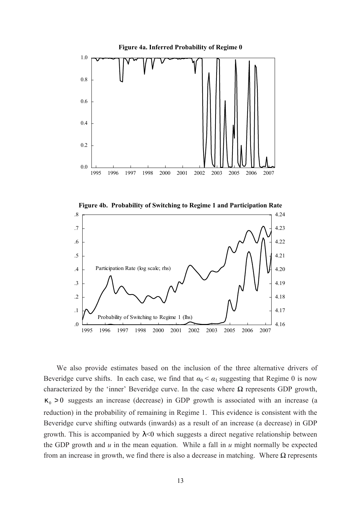

**Figure 4b. Probability of Switching to Regime 1 and Participation Rate**



We also provide estimates based on the inclusion of the three alternative drivers of Beveridge curve shifts. In each case, we find that  $\alpha_0 < \alpha_1$  suggesting that Regime 0 is now characterized by the 'inner' Beveridge curve. In the case where *Ω* represents GDP growth,  $k_0 > 0$  suggests an increase (decrease) in GDP growth is associated with an increase (a reduction) in the probability of remaining in Regime 1. This evidence is consistent with the Beveridge curve shifting outwards (inwards) as a result of an increase (a decrease) in GDP growth. This is accompanied by *l*<0 which suggests a direct negative relationship between the GDP growth and *u* in the mean equation. While a fall in *u* might normally be expected from an increase in growth, we find there is also a decrease in matching. Where *Ω* represents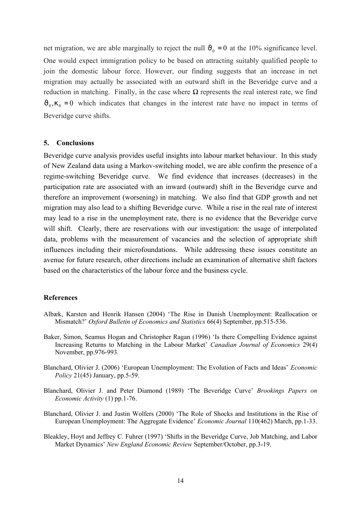net migration, we are able marginally to reject the null  $J_0 = 0$  at the 10% significance level. One would expect immigration policy to be based on attracting suitably qualified people to join the domestic labour force. However, our finding suggests that an increase in net migration may actually be associated with an outward shift in the Beveridge curve and a reduction in matching. Finally, in the case where  $Ω$  represents the real interest rate, we find  $J_0$ ,  $k_0 = 0$  which indicates that changes in the interest rate have no impact in terms of Beveridge curve shifts.

## **5. Conclusions**

Beveridge curve analysis provides useful insights into labour market behaviour. In this study of New Zealand data using a Markov-switching model, we are able confirm the presence of a regime-switching Beveridge curve. We find evidence that increases (decreases) in the participation rate are associated with an inward (outward) shift in the Beveridge curve and therefore an improvement (worsening) in matching. We also find that GDP growth and net migration may also lead to a shifting Beveridge curve. While a rise in the real rate of interest may lead to a rise in the unemployment rate, there is no evidence that the Beveridge curve will shift. Clearly, there are reservations with our investigation: the usage of interpolated data, problems with the measurement of vacancies and the selection of appropriate shift influences including their microfoundations. While addressing these issues constitute an avenue for future research, other directions include an examination of alternative shift factors based on the characteristics of the labour force and the business cycle.

## **References**

- Albæk, Karsten and Henrik Hansen (2004) 'The Rise in Danish Unemployment: Reallocation or Mismatch?' *Oxford Bulletin of Economics and Statistics* 66(4) September, pp.515-536.
- Baker, Simon, Seamus Hogan and Christopher Ragan (1996) 'Is there Compelling Evidence against Increasing Returns to Matching in the Labour Market' *Canadian Journal of Economics* 29(4) November, pp.976-993.
- Blanchard, Olivier J. (2006) 'European Unemployment: The Evolution of Facts and Ideas' *Economic Policy* 21(45) January, pp.5-59.
- Blanchard, Olivier J. and Peter Diamond (1989) 'The Beveridge Curve' *Brookings Papers on Economic Activity* (1) pp.1-76.
- Blanchard, Olivier J. and Justin Wolfers (2000) 'The Role of Shocks and Institutions in the Rise of European Unemployment: The Aggregate Evidence' *Economic Journal* 110(462) March, pp.1-33.
- Bleakley, Hoyt and Jeffrey C. Fuhrer (1997) 'Shifts in the Beveridge Curve, Job Matching, and Labor Market Dynamics' *New England Economic Review* September/October, pp.3-19.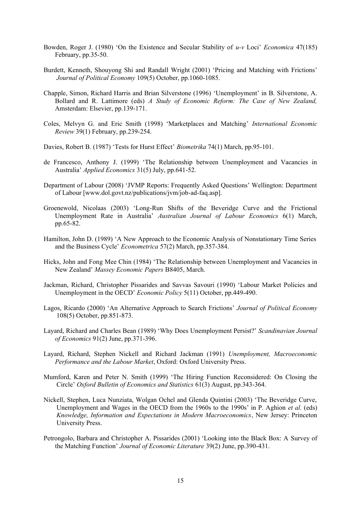- Bowden, Roger J. (1980) 'On the Existence and Secular Stability of *u-v* Loci' *Economica* 47(185) February, pp.35-50.
- Burdett, Kenneth, Shouyong Shi and Randall Wright (2001) 'Pricing and Matching with Frictions' *Journal of Political Economy* 109(5) October, pp.1060-1085.
- Chapple, Simon, Richard Harris and Brian Silverstone (1996) 'Unemployment' in B. Silverstone, A. Bollard and R. Lattimore (eds) *A Study of Economic Reform: The Case of New Zealand,* Amsterdam: Elsevier, pp.139-171.
- Coles, Melvyn G. and Eric Smith (1998) 'Marketplaces and Matching' *International Economic Review* 39(1) February, pp.239-254.
- Davies, Robert B. (1987) 'Tests for Hurst Effect' *Biometrika* 74(1) March, pp.95-101.
- de Francesco, Anthony J. (1999) 'The Relationship between Unemployment and Vacancies in Australia' *Applied Economics* 31(5) July, pp.641-52.
- Department of Labour (2008) 'JVMP Reports: Frequently Asked Questions' Wellington: Department of Labour [www.dol.govt.nz/publications/jvm/job-ad-faq.asp].
- Groenewold, Nicolaas (2003) 'Long-Run Shifts of the Beveridge Curve and the Frictional Unemployment Rate in Australia' *Australian Journal of Labour Economics* 6(1) March, pp.65-82.
- Hamilton, John D. (1989) 'A New Approach to the Economic Analysis of Nonstationary Time Series and the Business Cycle' *Econometrica* 57(2) March, pp.357-384.
- Hicks, John and Fong Mee Chin (1984) 'The Relationship between Unemployment and Vacancies in New Zealand' *Massey Economic Papers* B8405, March.
- Jackman, Richard, Christopher Pissarides and Savvas Savouri (1990) 'Labour Market Policies and Unemployment in the OECD' *Economic Policy* 5(11) October, pp.449-490.
- Lagos, Ricardo (2000) 'An Alternative Approach to Search Frictions' *Journal of Political Economy* 108(5) October, pp.851-873.
- Layard, Richard and Charles Bean (1989) 'Why Does Unemployment Persist?' *Scandinavian Journal of Economics* 91(2) June, pp.371-396.
- Layard, Richard, Stephen Nickell and Richard Jackman (1991) *Unemployment, Macroeconomic Performance and the Labour Market*, Oxford: Oxford University Press.
- Mumford, Karen and Peter N. Smith (1999) 'The Hiring Function Reconsidered: On Closing the Circle' *Oxford Bulletin of Economics and Statistics* 61(3) August, pp.343-364.
- Nickell, Stephen, Luca Nunziata, Wolgan Ochel and Glenda Quintini (2003) 'The Beveridge Curve, Unemployment and Wages in the OECD from the 1960s to the 1990s' in P. Aghion *et al.* (eds) *Knowledge, Information and Expectations in Modern Macroeconomics*, New Jersey: Princeton University Press.
- Petrongolo, Barbara and Christopher A. Pissarides (2001) 'Looking into the Black Box: A Survey of the Matching Function' *Journal of Economic Literature* 39(2) June, pp.390-431.